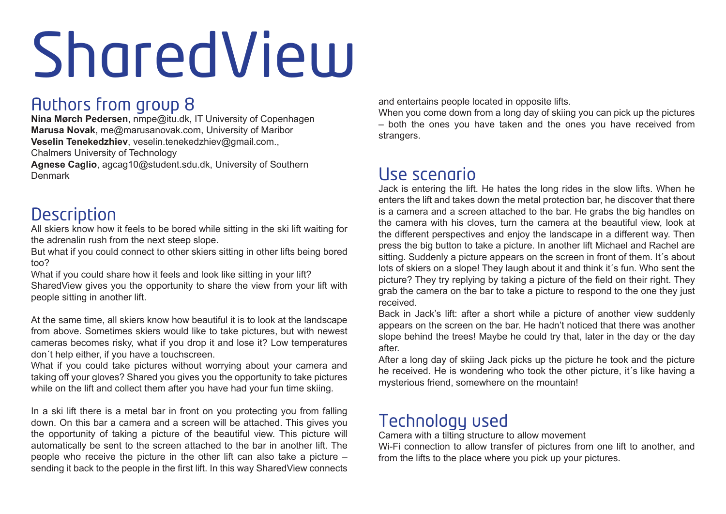# SharedView

#### Authors from group 8

**Nina Mørch Pedersen**, nmpe@itu.dk, IT University of Copenhagen **Marusa Novak**, me@marusanovak.com, University of Maribor **Veselin Tenekedzhiev**, veselin.tenekedzhiev@gmail.com.,

Chalmers University of Technology

**Agnese Caglio**, agcag10@student.sdu.dk, University of Southern Denmark

### **Description**

All skiers know how it feels to be bored while sitting in the ski lift waiting for the adrenalin rush from the next steep slope.

But what if you could connect to other skiers sitting in other lifts being bored too?

What if you could share how it feels and look like sitting in your lift? SharedView gives you the opportunity to share the view from your lift with people sitting in another lift.

At the same time, all skiers know how beautiful it is to look at the landscape from above. Sometimes skiers would like to take pictures, but with newest cameras becomes risky, what if you drop it and lose it? Low temperatures don´t help either, if you have a touchscreen.

What if you could take pictures without worrying about your camera and taking off your gloves? Shared you gives you the opportunity to take pictures while on the lift and collect them after you have had your fun time skiing.

In a ski lift there is a metal bar in front on you protecting you from falling down. On this bar a camera and a screen will be attached. This gives you the opportunity of taking a picture of the beautiful view. This picture will automatically be sent to the screen attached to the bar in another lift. The people who receive the picture in the other lift can also take a picture – sending it back to the people in the first lift. In this way SharedView connects and entertains people located in opposite lifts.

When you come down from a long day of skiing you can pick up the pictures – both the ones you have taken and the ones you have received from strangers.

#### Use scenario

Jack is entering the lift. He hates the long rides in the slow lifts. When he enters the lift and takes down the metal protection bar, he discover that there is a camera and a screen attached to the bar. He grabs the big handles on the camera with his cloves, turn the camera at the beautiful view, look at the different perspectives and enjoy the landscape in a different way. Then press the big button to take a picture. In another lift Michael and Rachel are sitting. Suddenly a picture appears on the screen in front of them. It´s about lots of skiers on a slope! They laugh about it and think it´s fun. Who sent the picture? They try replying by taking a picture of the field on their right. They grab the camera on the bar to take a picture to respond to the one they just received.

Back in Jack's lift: after a short while a picture of another view suddenly appears on the screen on the bar. He hadn't noticed that there was another slope behind the trees! Maybe he could try that, later in the day or the day after.

After a long day of skiing Jack picks up the picture he took and the picture he received. He is wondering who took the other picture, it´s like having a mysterious friend, somewhere on the mountain!

#### Technology used

Camera with a tilting structure to allow movement

Wi-Fi connection to allow transfer of pictures from one lift to another, and from the lifts to the place where you pick up your pictures.